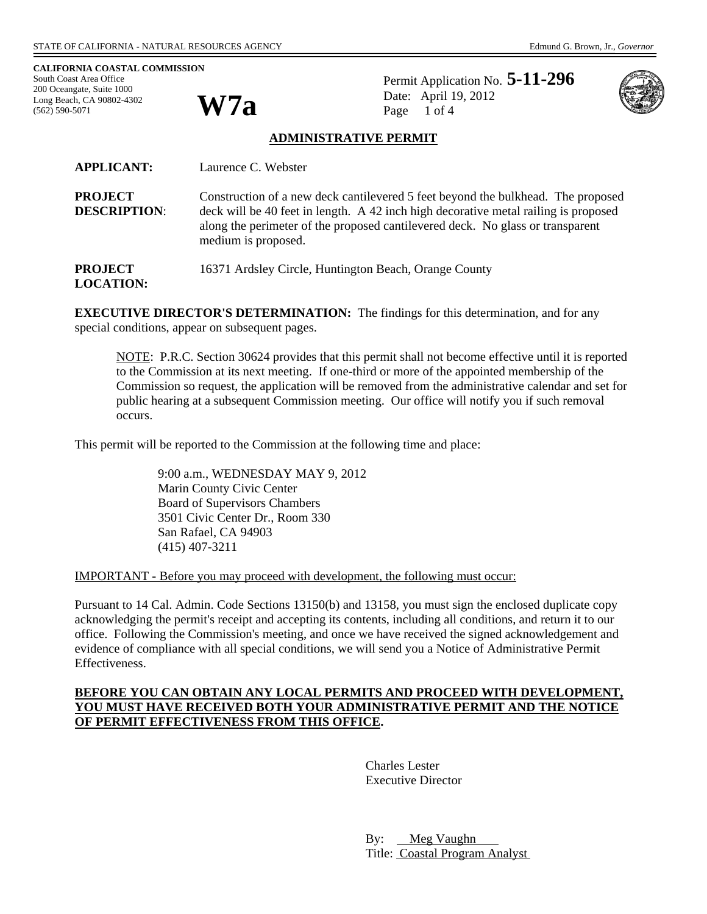**W7a** 

**CALIFORNIA COASTAL COMMISSION**  South Coast Area Office 200 Oceangate, Suite 1000 Long Beach, CA 90802-4302 (562) 590-5071

Permit Application No. **5-11-296** Date: April 19, 2012 Page 1 of 4



### **ADMINISTRATIVE PERMIT**

| <b>APPLICANT:</b>                     | Laurence C. Webster                                                                                                                                                                                                                                                              |
|---------------------------------------|----------------------------------------------------------------------------------------------------------------------------------------------------------------------------------------------------------------------------------------------------------------------------------|
| <b>PROJECT</b><br><b>DESCRIPTION:</b> | Construction of a new deck cantilevered 5 feet beyond the bulkhead. The proposed<br>deck will be 40 feet in length. A 42 inch high decorative metal railing is proposed<br>along the perimeter of the proposed cantilevered deck. No glass or transparent<br>medium is proposed. |
| <b>PROJECT</b><br><b>LOCATION:</b>    | 16371 Ardsley Circle, Huntington Beach, Orange County                                                                                                                                                                                                                            |

**EXECUTIVE DIRECTOR'S DETERMINATION:** The findings for this determination, and for any special conditions, appear on subsequent pages.

NOTE: P.R.C. Section 30624 provides that this permit shall not become effective until it is reported to the Commission at its next meeting. If one-third or more of the appointed membership of the Commission so request, the application will be removed from the administrative calendar and set for public hearing at a subsequent Commission meeting. Our office will notify you if such removal occurs.

This permit will be reported to the Commission at the following time and place:

 9:00 a.m., WEDNESDAY MAY 9, 2012 Marin County Civic Center Board of Supervisors Chambers 3501 Civic Center Dr., Room 330 San Rafael, CA 94903 (415) 407-3211

IMPORTANT - Before you may proceed with development, the following must occur:

Pursuant to 14 Cal. Admin. Code Sections 13150(b) and 13158, you must sign the enclosed duplicate copy acknowledging the permit's receipt and accepting its contents, including all conditions, and return it to our office. Following the Commission's meeting, and once we have received the signed acknowledgement and evidence of compliance with all special conditions, we will send you a Notice of Administrative Permit Effectiveness.

### **BEFORE YOU CAN OBTAIN ANY LOCAL PERMITS AND PROCEED WITH DEVELOPMENT, YOU MUST HAVE RECEIVED BOTH YOUR ADMINISTRATIVE PERMIT AND THE NOTICE OF PERMIT EFFECTIVENESS FROM THIS OFFICE.**

 Charles Lester Executive Director

By: Meg Vaughn Title: Coastal Program Analyst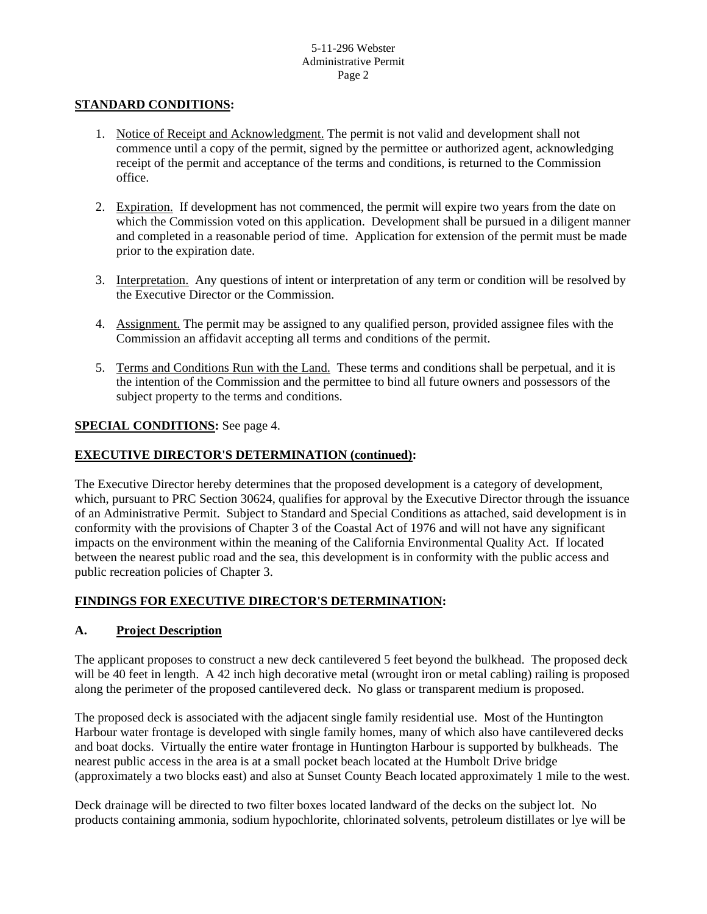### **STANDARD CONDITIONS:**

- 1. Notice of Receipt and Acknowledgment. The permit is not valid and development shall not commence until a copy of the permit, signed by the permittee or authorized agent, acknowledging receipt of the permit and acceptance of the terms and conditions, is returned to the Commission office.
- 2. Expiration. If development has not commenced, the permit will expire two years from the date on which the Commission voted on this application. Development shall be pursued in a diligent manner and completed in a reasonable period of time. Application for extension of the permit must be made prior to the expiration date.
- 3. Interpretation. Any questions of intent or interpretation of any term or condition will be resolved by the Executive Director or the Commission.
- 4. Assignment. The permit may be assigned to any qualified person, provided assignee files with the Commission an affidavit accepting all terms and conditions of the permit.
- 5. Terms and Conditions Run with the Land. These terms and conditions shall be perpetual, and it is the intention of the Commission and the permittee to bind all future owners and possessors of the subject property to the terms and conditions.

### **SPECIAL CONDITIONS:** See page 4.

#### **EXECUTIVE DIRECTOR'S DETERMINATION (continued):**

The Executive Director hereby determines that the proposed development is a category of development, which, pursuant to PRC Section 30624, qualifies for approval by the Executive Director through the issuance of an Administrative Permit. Subject to Standard and Special Conditions as attached, said development is in conformity with the provisions of Chapter 3 of the Coastal Act of 1976 and will not have any significant impacts on the environment within the meaning of the California Environmental Quality Act. If located between the nearest public road and the sea, this development is in conformity with the public access and public recreation policies of Chapter 3.

### **FINDINGS FOR EXECUTIVE DIRECTOR'S DETERMINATION:**

#### **A. Project Description**

The applicant proposes to construct a new deck cantilevered 5 feet beyond the bulkhead. The proposed deck will be 40 feet in length. A 42 inch high decorative metal (wrought iron or metal cabling) railing is proposed along the perimeter of the proposed cantilevered deck. No glass or transparent medium is proposed.

The proposed deck is associated with the adjacent single family residential use. Most of the Huntington Harbour water frontage is developed with single family homes, many of which also have cantilevered decks and boat docks. Virtually the entire water frontage in Huntington Harbour is supported by bulkheads. The nearest public access in the area is at a small pocket beach located at the Humbolt Drive bridge (approximately a two blocks east) and also at Sunset County Beach located approximately 1 mile to the west.

Deck drainage will be directed to two filter boxes located landward of the decks on the subject lot. No products containing ammonia, sodium hypochlorite, chlorinated solvents, petroleum distillates or lye will be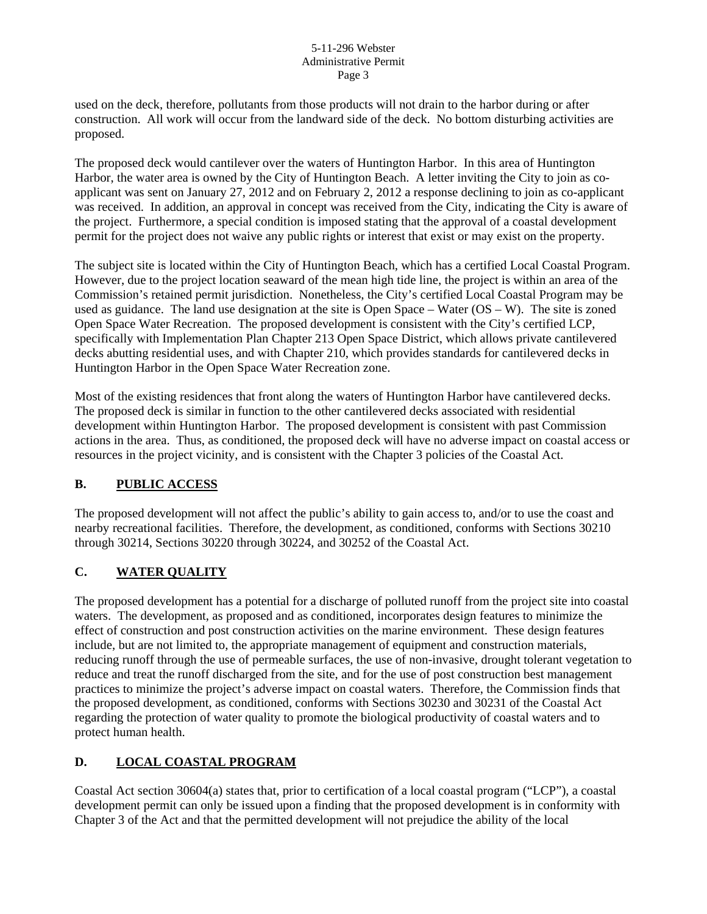#### 5-11-296 Webster Administrative Permit Page 3

used on the deck, therefore, pollutants from those products will not drain to the harbor during or after construction. All work will occur from the landward side of the deck. No bottom disturbing activities are proposed.

The proposed deck would cantilever over the waters of Huntington Harbor. In this area of Huntington Harbor, the water area is owned by the City of Huntington Beach. A letter inviting the City to join as coapplicant was sent on January 27, 2012 and on February 2, 2012 a response declining to join as co-applicant was received. In addition, an approval in concept was received from the City, indicating the City is aware of the project. Furthermore, a special condition is imposed stating that the approval of a coastal development permit for the project does not waive any public rights or interest that exist or may exist on the property.

The subject site is located within the City of Huntington Beach, which has a certified Local Coastal Program. However, due to the project location seaward of the mean high tide line, the project is within an area of the Commission's retained permit jurisdiction. Nonetheless, the City's certified Local Coastal Program may be used as guidance. The land use designation at the site is Open Space – Water (OS – W). The site is zoned Open Space Water Recreation. The proposed development is consistent with the City's certified LCP, specifically with Implementation Plan Chapter 213 Open Space District, which allows private cantilevered decks abutting residential uses, and with Chapter 210, which provides standards for cantilevered decks in Huntington Harbor in the Open Space Water Recreation zone.

Most of the existing residences that front along the waters of Huntington Harbor have cantilevered decks. The proposed deck is similar in function to the other cantilevered decks associated with residential development within Huntington Harbor. The proposed development is consistent with past Commission actions in the area. Thus, as conditioned, the proposed deck will have no adverse impact on coastal access or resources in the project vicinity, and is consistent with the Chapter 3 policies of the Coastal Act.

# **B. PUBLIC ACCESS**

The proposed development will not affect the public's ability to gain access to, and/or to use the coast and nearby recreational facilities. Therefore, the development, as conditioned, conforms with Sections 30210 through 30214, Sections 30220 through 30224, and 30252 of the Coastal Act.

# **C. WATER QUALITY**

The proposed development has a potential for a discharge of polluted runoff from the project site into coastal waters. The development, as proposed and as conditioned, incorporates design features to minimize the effect of construction and post construction activities on the marine environment. These design features include, but are not limited to, the appropriate management of equipment and construction materials, reducing runoff through the use of permeable surfaces, the use of non-invasive, drought tolerant vegetation to reduce and treat the runoff discharged from the site, and for the use of post construction best management practices to minimize the project's adverse impact on coastal waters. Therefore, the Commission finds that the proposed development, as conditioned, conforms with Sections 30230 and 30231 of the Coastal Act regarding the protection of water quality to promote the biological productivity of coastal waters and to protect human health.

# **D. LOCAL COASTAL PROGRAM**

Coastal Act section 30604(a) states that, prior to certification of a local coastal program ("LCP"), a coastal development permit can only be issued upon a finding that the proposed development is in conformity with Chapter 3 of the Act and that the permitted development will not prejudice the ability of the local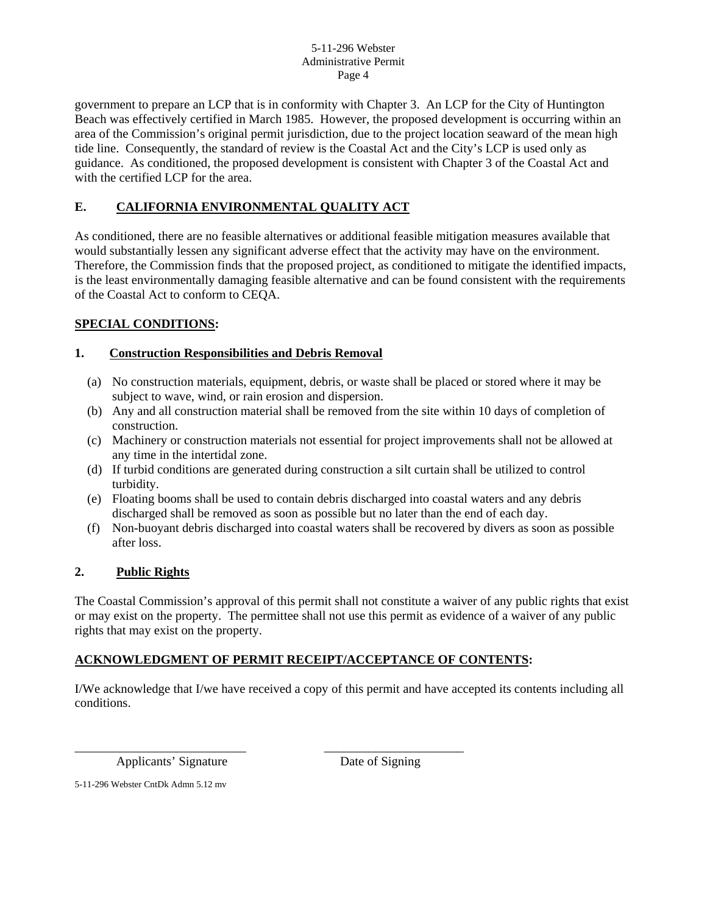#### 5-11-296 Webster Administrative Permit Page 4

government to prepare an LCP that is in conformity with Chapter 3. An LCP for the City of Huntington Beach was effectively certified in March 1985. However, the proposed development is occurring within an area of the Commission's original permit jurisdiction, due to the project location seaward of the mean high tide line. Consequently, the standard of review is the Coastal Act and the City's LCP is used only as guidance. As conditioned, the proposed development is consistent with Chapter 3 of the Coastal Act and with the certified LCP for the area.

# **E. CALIFORNIA ENVIRONMENTAL QUALITY ACT**

As conditioned, there are no feasible alternatives or additional feasible mitigation measures available that would substantially lessen any significant adverse effect that the activity may have on the environment. Therefore, the Commission finds that the proposed project, as conditioned to mitigate the identified impacts, is the least environmentally damaging feasible alternative and can be found consistent with the requirements of the Coastal Act to conform to CEQA.

### **SPECIAL CONDITIONS:**

### **1. Construction Responsibilities and Debris Removal**

- (a) No construction materials, equipment, debris, or waste shall be placed or stored where it may be subject to wave, wind, or rain erosion and dispersion.
- (b) Any and all construction material shall be removed from the site within 10 days of completion of construction.
- (c) Machinery or construction materials not essential for project improvements shall not be allowed at any time in the intertidal zone.
- (d) If turbid conditions are generated during construction a silt curtain shall be utilized to control turbidity.
- (e) Floating booms shall be used to contain debris discharged into coastal waters and any debris discharged shall be removed as soon as possible but no later than the end of each day.
- (f) Non-buoyant debris discharged into coastal waters shall be recovered by divers as soon as possible after loss.

### **2. Public Rights**

The Coastal Commission's approval of this permit shall not constitute a waiver of any public rights that exist or may exist on the property. The permittee shall not use this permit as evidence of a waiver of any public rights that may exist on the property.

#### **ACKNOWLEDGMENT OF PERMIT RECEIPT/ACCEPTANCE OF CONTENTS:**

\_\_\_\_\_\_\_\_\_\_\_\_\_\_\_\_\_\_\_\_\_\_\_\_\_\_\_ \_\_\_\_\_\_\_\_\_\_\_\_\_\_\_\_\_\_\_\_\_\_

I/We acknowledge that I/we have received a copy of this permit and have accepted its contents including all conditions.

Applicants' Signature Date of Signing

5-11-296 Webster CntDk Admn 5.12 mv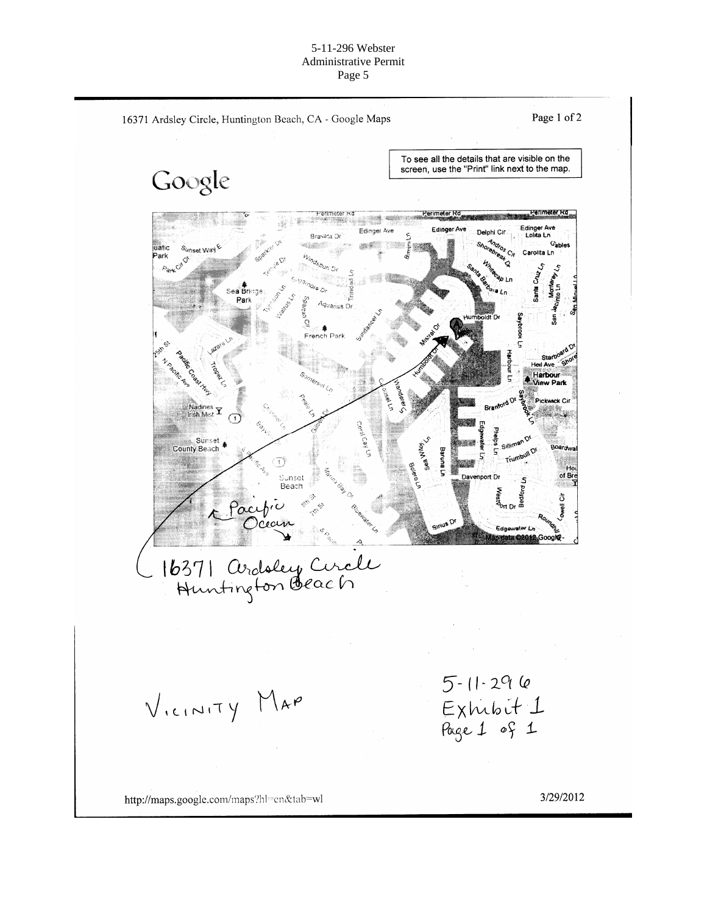#### 5-11-296 Webster Administrative Permit Page 5